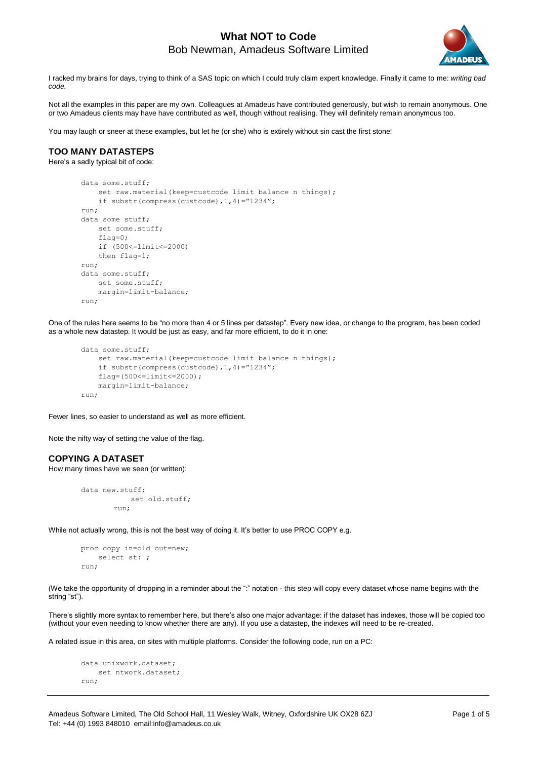

I racked my brains for days, trying to think of a SAS topic on which I could truly claim expert knowledge. Finally it came to me: *writing bad code.*

Not all the examples in this paper are my own. Colleagues at Amadeus have contributed generously, but wish to remain anonymous. One or two Amadeus clients may have have contributed as well, though without realising. They will definitely remain anonymous too.

You may laugh or sneer at these examples, but let he (or she) who is extirely without sin cast the first stone!

### **TOO MANY DATASTEPS**

Here's a sadly typical bit of code:

```
data some.stuff;
    set raw.material(keep=custcode limit balance n things);
    if substr(compress(custcode),1,4)="1234";
run;
data some stuff;
    set some.stuff;
    flag=0;
    if (500<=limit<=2000)
     then flag=1;
run;
data some.stuff;
    set some.stuff;
    margin=limit-balance;
run;
```
One of the rules here seems to be "no more than 4 or 5 lines per datastep". Every new idea, or change to the program, has been coded as a whole new datastep. It would be just as easy, and far more efficient, to do it in one:

```
data some.stuff;
    set raw.material(keep=custcode limit balance n things);
     if substr(compress(custcode),1,4)="1234";
     flag=(500<=limit<=2000);
    margin=limit-balance;
run;
```
Fewer lines, so easier to understand as well as more efficient.

Note the nifty way of setting the value of the flag.

### **COPYING A DATASET**

How many times have we seen (or written):

```
data new.stuff;
            set old.stuff;
         run;
```
While not actually wrong, this is not the best way of doing it. It's better to use PROC COPY e.g.

```
proc copy in=old out=new;
    select st: ;
run;
```
(We take the opportunity of dropping in a reminder about the ":" notation - this step will copy every dataset whose name begins with the string "st").

There's slightly more syntax to remember here, but there's also one major advantage: if the dataset has indexes, those will be copied too (without your even needing to know whether there are any). If you use a datastep, the indexes will need to be re-created.

A related issue in this area, on sites with multiple platforms. Consider the following code, run on a PC:

```
data unixwork.dataset;
    set ntwork.dataset;
run;
```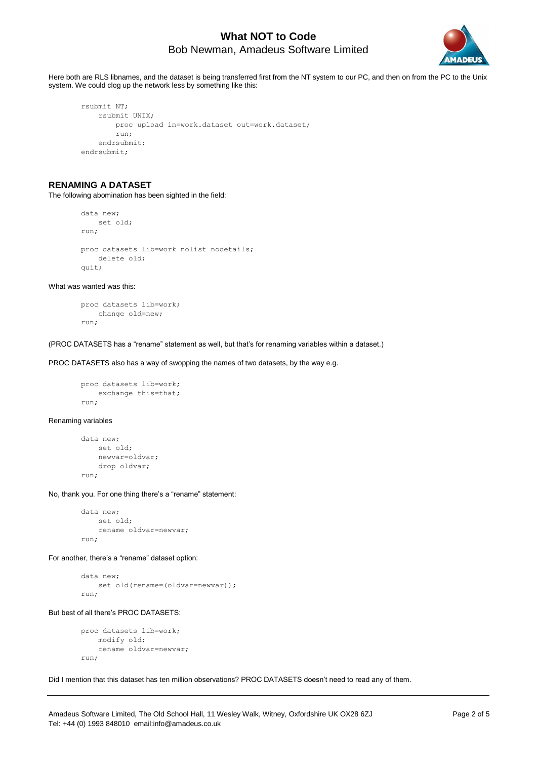

Here both are RLS libnames, and the dataset is being transferred first from the NT system to our PC, and then on from the PC to the Unix system. We could clog up the network less by something like this:

```
rsubmit NT;
     rsubmit UNIX;
         proc upload in=work.dataset out=work.dataset;
         run;
     endrsubmit;
endrsubmit;
```
### **RENAMING A DATASET**

The following abomination has been sighted in the field:

```
data new;
    set old;
run;
proc datasets lib=work nolist nodetails;
     delete old;
quit;
```
What was wanted was this:

```
proc datasets lib=work;
    change old=new;
run;
```
(PROC DATASETS has a "rename" statement as well, but that's for renaming variables within a dataset.)

PROC DATASETS also has a way of swopping the names of two datasets, by the way e.g.

```
proc datasets lib=work;
   exchange this=that;
run;
```
#### Renaming variables

```
data new;
     set old;
     newvar=oldvar;
     drop oldvar;
run;
```
No, thank you. For one thing there's a "rename" statement:

```
data new;
     set old;
     rename oldvar=newvar;
run;
```
For another, there's a "rename" dataset option:

data new; set old(rename=(oldvar=newvar)); run;

#### But best of all there's PROC DATASETS:

```
proc datasets lib=work;
    modify old;
     rename oldvar=newvar;
run;
```
Did I mention that this dataset has ten million observations? PROC DATASETS doesn't need to read any of them.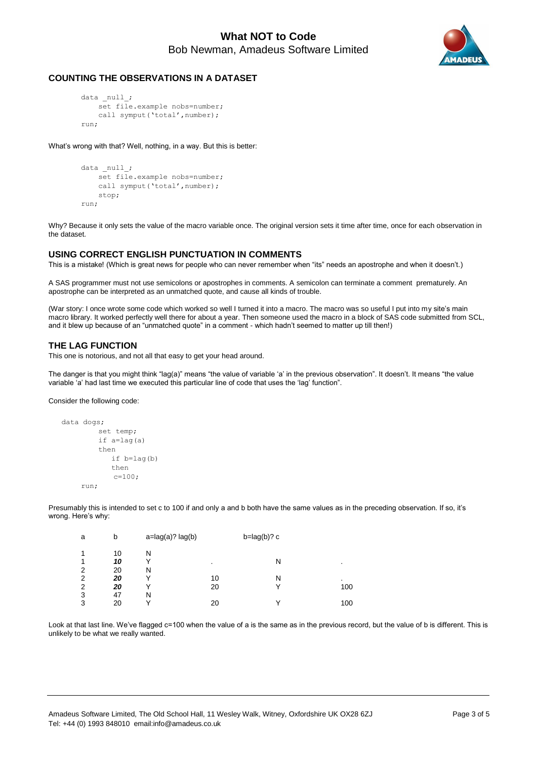

### **COUNTING THE OBSERVATIONS IN A DATASET**

```
data null;
    set file.example nobs=number;
    call symput('total', number);
run;
```
What's wrong with that? Well, nothing, in a way. But this is better:

```
data _null_;
    set file.example nobs=number;
    call symput('total', number);
     stop;
run;
```
Why? Because it only sets the value of the macro variable once. The original version sets it time after time, once for each observation in the dataset.

### **USING CORRECT ENGLISH PUNCTUATION IN COMMENTS**

This is a mistake! (Which is great news for people who can never remember when "its" needs an apostrophe and when it doesn't.)

A SAS programmer must not use semicolons or apostrophes in comments. A semicolon can terminate a comment prematurely. An apostrophe can be interpreted as an unmatched quote, and cause all kinds of trouble.

(War story: I once wrote some code which worked so well I turned it into a macro. The macro was so useful I put into my site's main macro library. It worked perfectly well there for about a year. Then someone used the macro in a block of SAS code submitted from SCL, and it blew up because of an "unmatched quote" in a comment - which hadn't seemed to matter up till then!)

### **THE LAG FUNCTION**

This one is notorious, and not all that easy to get your head around.

The danger is that you might think "lag(a)" means "the value of variable 'a' in the previous observation". It doesn't. It means "the value variable 'a' had last time we executed this particular line of code that uses the 'lag' function".

Consider the following code:

```
data dogs;
          set temp;
          if a=lag(a)
          then
              if b=lag(b)
              then
             c=100;
     run;
```
Presumably this is intended to set c to 100 if and only a and b both have the same values as in the preceding observation. If so, it's wrong. Here's why:

| a              | b  | $a = lag(a)?$ lag(b) |         | $b = lag(b)? c$ |                |
|----------------|----|----------------------|---------|-----------------|----------------|
| 1              | 10 | N                    |         |                 |                |
| 1              | 10 |                      | $\cdot$ | N               | $\blacksquare$ |
| 2              | 20 | Ν                    |         |                 |                |
| $\overline{2}$ | 20 |                      | 10      | N               | $\cdot$        |
| $\overline{2}$ | 20 | ν                    | 20      |                 | 100            |
| 3              | 47 | Ν                    |         |                 |                |
| 3              | 20 |                      | 20      |                 | 100            |

Look at that last line. We've flagged c=100 when the value of a is the same as in the previous record, but the value of b is different. This is unlikely to be what we really wanted.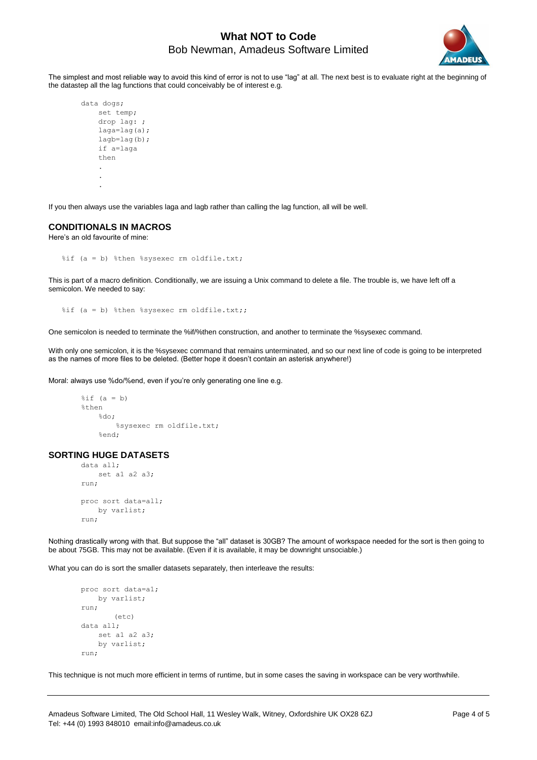

The simplest and most reliable way to avoid this kind of error is not to use "lag" at all. The next best is to evaluate right at the beginning of the datastep all the lag functions that could conceivably be of interest e.g.

```
data dogs;
    set temp;
     drop lag: ;
     laga=lag(a);
     lagb=lag(b);
     if a=laga
     then
 .
 .
 .
```
If you then always use the variables laga and lagb rather than calling the lag function, all will be well.

#### **CONDITIONALS IN MACROS**

Here's an old favourite of mine:

%if (a = b) %then %sysexec rm oldfile.txt;

This is part of a macro definition. Conditionally, we are issuing a Unix command to delete a file. The trouble is, we have left off a semicolon. We needed to say:

%if (a = b) %then %sysexec rm oldfile.txt;;

One semicolon is needed to terminate the %if/%then construction, and another to terminate the %sysexec command.

With only one semicolon, it is the %sysexec command that remains unterminated, and so our next line of code is going to be interpreted as the names of more files to be deleted. (Better hope it doesn't contain an asterisk anywhere!)

Moral: always use %do/%end, even if you're only generating one line e.g.

```
\hat{s}if (a = b)
%then
    *do:
           %sysexec rm oldfile.txt;
      %end;
```
### **SORTING HUGE DATASETS**

```
data all;
    set a1 a2 a3;
run;
proc sort data=all;
    by varlist;
run;
```
Nothing drastically wrong with that. But suppose the "all" dataset is 30GB? The amount of workspace needed for the sort is then going to be about 75GB. This may not be available. (Even if it is available, it may be downright unsociable.)

What you can do is sort the smaller datasets separately, then interleave the results:

```
proc sort data=a1;
    by varlist;
run;
        (etc.)data all;
    set a1 a2 a3;
     by varlist;
run;
```
This technique is not much more efficient in terms of runtime, but in some cases the saving in workspace can be very worthwhile.